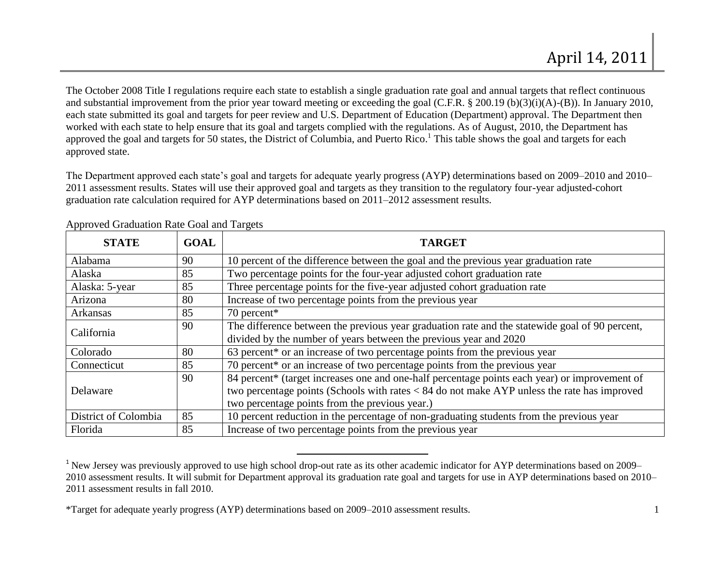The October 2008 Title I regulations require each state to establish a single graduation rate goal and annual targets that reflect continuous and substantial improvement from the prior year toward meeting or exceeding the goal (C.F.R. § 200.19 (b)(3)(i)(A)-(B)). In January 2010, each state submitted its goal and targets for peer review and U.S. Department of Education (Department) approval. The Department then worked with each state to help ensure that its goal and targets complied with the regulations. As of August, 2010, the Department has approved the goal and targets for 50 states, the District of Columbia, and Puerto Rico.<sup>1</sup> This table shows the goal and targets for each approved state.

The Department approved each state's goal and targets for adequate yearly progress (AYP) determinations based on 2009–2010 and 2010– 2011 assessment results. States will use their approved goal and targets as they transition to the regulatory four-year adjusted-cohort graduation rate calculation required for AYP determinations based on 2011–2012 assessment results.

| <b>STATE</b>         | <b>GOAL</b> | <b>TARGET</b>                                                                                  |
|----------------------|-------------|------------------------------------------------------------------------------------------------|
| Alabama              | 90          | 10 percent of the difference between the goal and the previous year graduation rate            |
| Alaska               | 85          | Two percentage points for the four-year adjusted cohort graduation rate                        |
| Alaska: 5-year       | 85          | Three percentage points for the five-year adjusted cohort graduation rate                      |
| Arizona              | 80          | Increase of two percentage points from the previous year                                       |
| Arkansas             | 85          | 70 percent*                                                                                    |
| California           | 90          | The difference between the previous year graduation rate and the statewide goal of 90 percent, |
|                      |             | divided by the number of years between the previous year and 2020                              |
| Colorado             | 80          | 63 percent* or an increase of two percentage points from the previous year                     |
| Connecticut          | 85          | 70 percent* or an increase of two percentage points from the previous year                     |
| Delaware             | 90          | 84 percent* (target increases one and one-half percentage points each year) or improvement of  |
|                      |             | two percentage points (Schools with rates < 84 do not make AYP unless the rate has improved    |
|                      |             | two percentage points from the previous year.)                                                 |
| District of Colombia | 85          | 10 percent reduction in the percentage of non-graduating students from the previous year       |
| Florida              | 85          | Increase of two percentage points from the previous year                                       |

Approved Graduation Rate Goal and Targets

\*Target for adequate yearly progress (AYP) determinations based on 2009–2010 assessment results. 1

 $\overline{a}$ 

<sup>&</sup>lt;sup>1</sup> New Jersey was previously approved to use high school drop-out rate as its other academic indicator for AYP determinations based on 2009– 2010 assessment results. It will submit for Department approval its graduation rate goal and targets for use in AYP determinations based on 2010– 2011 assessment results in fall 2010.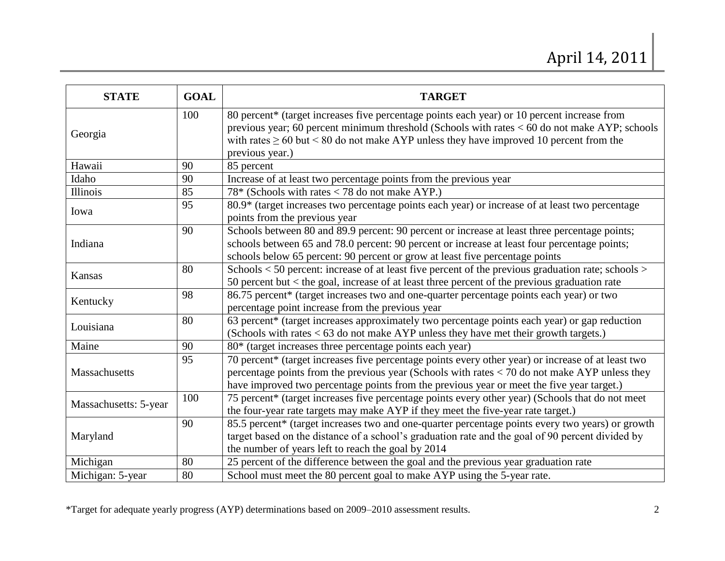| <b>STATE</b>          | <b>GOAL</b> | <b>TARGET</b>                                                                                                                                                                                                                                                                                                         |
|-----------------------|-------------|-----------------------------------------------------------------------------------------------------------------------------------------------------------------------------------------------------------------------------------------------------------------------------------------------------------------------|
| Georgia               | 100         | 80 percent* (target increases five percentage points each year) or 10 percent increase from<br>previous year; 60 percent minimum threshold (Schools with rates $< 60$ do not make AYP; schools<br>with rates $\geq 60$ but $\leq 80$ do not make AYP unless they have improved 10 percent from the<br>previous year.) |
| Hawaii                | 90          | 85 percent                                                                                                                                                                                                                                                                                                            |
| Idaho                 | 90          | Increase of at least two percentage points from the previous year                                                                                                                                                                                                                                                     |
| Illinois              | 85          | 78* (Schools with rates $<$ 78 do not make AYP.)                                                                                                                                                                                                                                                                      |
| Iowa                  | 95          | 80.9* (target increases two percentage points each year) or increase of at least two percentage<br>points from the previous year                                                                                                                                                                                      |
| Indiana               | 90          | Schools between 80 and 89.9 percent: 90 percent or increase at least three percentage points;<br>schools between 65 and 78.0 percent: 90 percent or increase at least four percentage points;<br>schools below 65 percent: 90 percent or grow at least five percentage points                                         |
| Kansas                | 80          | Schools $<$ 50 percent: increase of at least five percent of the previous graduation rate; schools $>$<br>50 percent but < the goal, increase of at least three percent of the previous graduation rate                                                                                                               |
| Kentucky              | 98          | 86.75 percent* (target increases two and one-quarter percentage points each year) or two<br>percentage point increase from the previous year                                                                                                                                                                          |
| Louisiana             | 80          | 63 percent* (target increases approximately two percentage points each year) or gap reduction<br>(Schools with rates $<$ 63 do not make AYP unless they have met their growth targets.)                                                                                                                               |
| Maine                 | 90          | 80* (target increases three percentage points each year)                                                                                                                                                                                                                                                              |
| Massachusetts         | 95          | 70 percent* (target increases five percentage points every other year) or increase of at least two<br>percentage points from the previous year (Schools with rates $<$ 70 do not make AYP unless they<br>have improved two percentage points from the previous year or meet the five year target.)                    |
| Massachusetts: 5-year | 100         | 75 percent* (target increases five percentage points every other year) (Schools that do not meet<br>the four-year rate targets may make AYP if they meet the five-year rate target.)                                                                                                                                  |
| Maryland              | 90          | 85.5 percent* (target increases two and one-quarter percentage points every two years) or growth<br>target based on the distance of a school's graduation rate and the goal of 90 percent divided by<br>the number of years left to reach the goal by 2014                                                            |
| Michigan              | 80          | 25 percent of the difference between the goal and the previous year graduation rate                                                                                                                                                                                                                                   |
| Michigan: 5-year      | 80          | School must meet the 80 percent goal to make AYP using the 5-year rate.                                                                                                                                                                                                                                               |

\*Target for adequate yearly progress (AYP) determinations based on 2009–2010 assessment results. 2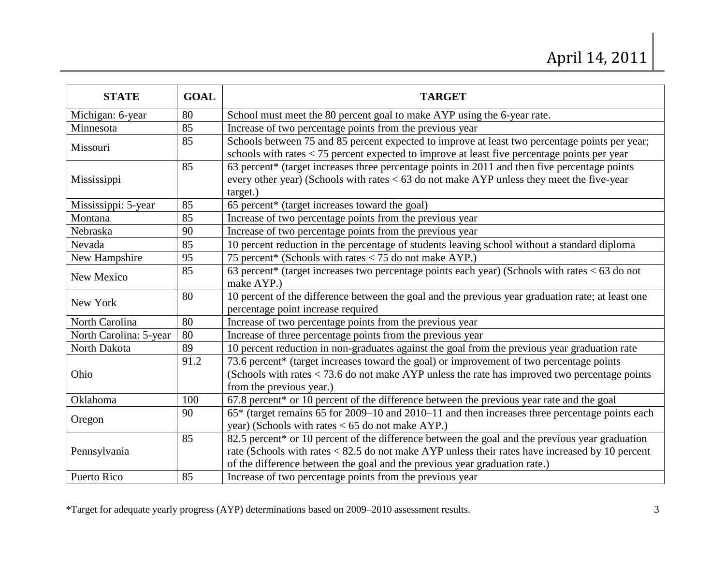| <b>STATE</b>           | <b>GOAL</b> | <b>TARGET</b>                                                                                                                                                                                                                                                                    |
|------------------------|-------------|----------------------------------------------------------------------------------------------------------------------------------------------------------------------------------------------------------------------------------------------------------------------------------|
| Michigan: 6-year       | 80          | School must meet the 80 percent goal to make AYP using the 6-year rate.                                                                                                                                                                                                          |
| Minnesota              | 85          | Increase of two percentage points from the previous year                                                                                                                                                                                                                         |
| Missouri               | 85          | Schools between 75 and 85 percent expected to improve at least two percentage points per year;<br>schools with rates $<$ 75 percent expected to improve at least five percentage points per year                                                                                 |
| Mississippi            | 85          | 63 percent* (target increases three percentage points in 2011 and then five percentage points<br>every other year) (Schools with rates $<$ 63 do not make AYP unless they meet the five-year<br>target.)                                                                         |
| Mississippi: 5-year    | 85          | 65 percent* (target increases toward the goal)                                                                                                                                                                                                                                   |
| Montana                | 85          | Increase of two percentage points from the previous year                                                                                                                                                                                                                         |
| Nebraska               | 90          | Increase of two percentage points from the previous year                                                                                                                                                                                                                         |
| Nevada                 | 85          | 10 percent reduction in the percentage of students leaving school without a standard diploma                                                                                                                                                                                     |
| New Hampshire          | 95          | 75 percent* (Schools with rates < 75 do not make AYP.)                                                                                                                                                                                                                           |
| New Mexico             | 85          | 63 percent* (target increases two percentage points each year) (Schools with rates $< 63$ do not<br>make AYP.)                                                                                                                                                                   |
| New York               | 80          | 10 percent of the difference between the goal and the previous year graduation rate; at least one<br>percentage point increase required                                                                                                                                          |
| North Carolina         | 80          | Increase of two percentage points from the previous year                                                                                                                                                                                                                         |
| North Carolina: 5-year | 80          | Increase of three percentage points from the previous year                                                                                                                                                                                                                       |
| North Dakota           | 89          | 10 percent reduction in non-graduates against the goal from the previous year graduation rate                                                                                                                                                                                    |
| Ohio                   | 91.2        | 73.6 percent* (target increases toward the goal) or improvement of two percentage points<br>(Schools with rates $<$ 73.6 do not make AYP unless the rate has improved two percentage points<br>from the previous year.)                                                          |
| Oklahoma               | 100         | 67.8 percent* or 10 percent of the difference between the previous year rate and the goal                                                                                                                                                                                        |
| Oregon                 | 90          | 65* (target remains 65 for 2009–10 and 2010–11 and then increases three percentage points each<br>year) (Schools with rates $< 65$ do not make AYP.)                                                                                                                             |
| Pennsylvania           | 85          | 82.5 percent* or 10 percent of the difference between the goal and the previous year graduation<br>rate (Schools with rates < 82.5 do not make AYP unless their rates have increased by 10 percent<br>of the difference between the goal and the previous year graduation rate.) |
| Puerto Rico            | 85          | Increase of two percentage points from the previous year                                                                                                                                                                                                                         |

\*Target for adequate yearly progress (AYP) determinations based on 2009–2010 assessment results. 3